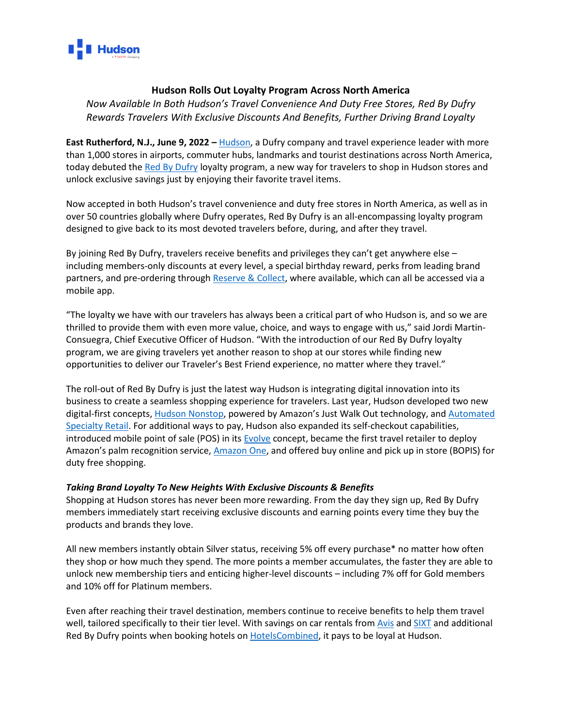

## **Hudson Rolls Out Loyalty Program Across North America**

*Now Available In Both Hudson's Travel Convenience And Duty Free Stores, Red By Dufry Rewards Travelers With Exclusive Discounts And Benefits, Further Driving Brand Loyalty*

**East Rutherford, N.J., June 9, 2022 –** [Hudson,](http://www.hudsongroup.com/) a Dufry company and travel experience leader with more than 1,000 stores in airports, commuter hubs, landmarks and tourist destinations across North America, today debuted the Red [By Dufry](https://www.redbydufry.com/en/about-red.html) loyalty program, a new way for travelers to shop in Hudson stores and unlock exclusive savings just by enjoying their favorite travel items.

Now accepted in both Hudson's travel convenience and duty free stores in North America, as well as in over 50 countries globally where Dufry operates, Red By Dufry is an all-encompassing loyalty program designed to give back to its most devoted travelers before, during, and after they travel.

By joining Red By Dufry, travelers receive benefits and privileges they can't get anywhere else – including members-only discounts at every level, a special birthday reward, perks from leading brand partners, and pre-ordering through [Reserve & Collect,](https://www.dufry.com/en/shopping/reserve-collect-service) where available, which can all be accessed via a mobile app.

"The loyalty we have with our travelers has always been a critical part of who Hudson is, and so we are thrilled to provide them with even more value, choice, and ways to engage with us," said Jordi Martin-Consuegra, Chief Executive Officer of Hudson. "With the introduction of our Red By Dufry loyalty program, we are giving travelers yet another reason to shop at our stores while finding new opportunities to deliver our Traveler's Best Friend experience, no matter where they travel."

The roll-out of Red By Dufry is just the latest way Hudson is integrating digital innovation into its business to create a seamless shopping experience for travelers. Last year, Hudson developed two new digital-first concepts[, Hudson Nonstop,](https://www.hudsongroup.com/press_release/2021-06-08/hudson-nonstop-arrives-chicago-using-amazons-just-walk-out-technology) powered by Amazon's Just Walk Out technology, an[d Automated](https://www.hudsongroup.com/press_release/2021-03-31/hudson-ushers-future-automated-retail-launching-new-vending-destinations)  [Specialty Retail.](https://www.hudsongroup.com/press_release/2021-03-31/hudson-ushers-future-automated-retail-launching-new-vending-destinations) For additional ways to pay, Hudson also expanded its self-checkout capabilities, introduced mobile point of sale (POS) in it[s Evolve](https://www.hudsongroup.com/press_release/2021-08-05/hudson-debuts-expansive-shop-shop-experience-store-evolve-hudson) concept, became the first travel retailer to deploy Amazon's palm recognition service, [Amazon One,](https://www.hudsongroup.com/press_release/2021-12-14/hudson-becomes-first-travel-retailer-deploy-amazon-one) and offered buy online and pick up in store (BOPIS) for duty free shopping.

## *Taking Brand Loyalty To New Heights With Exclusive Discounts & Benefits*

Shopping at Hudson stores has never been more rewarding. From the day they sign up, Red By Dufry members immediately start receiving exclusive discounts and earning points every time they buy the products and brands they love.

All new members instantly obtain Silver status, receiving 5% off every purchase\* no matter how often they shop or how much they spend. The more points a member accumulates, the faster they are able to unlock new membership tiers and enticing higher-level discounts – including 7% off for Gold members and 10% off for Platinum members.

Even after reaching their travel destination, members continue to receive benefits to help them travel well, tailored specifically to their tier level. With savings on car rentals from [Avis](https://www.avis.com/en/home) and [SIXT](https://www.sixt.com/#/) and additional Red By Dufry points when booking hotels o[n HotelsCombined,](https://www.hotelscombined.com/) it pays to be loyal at Hudson.